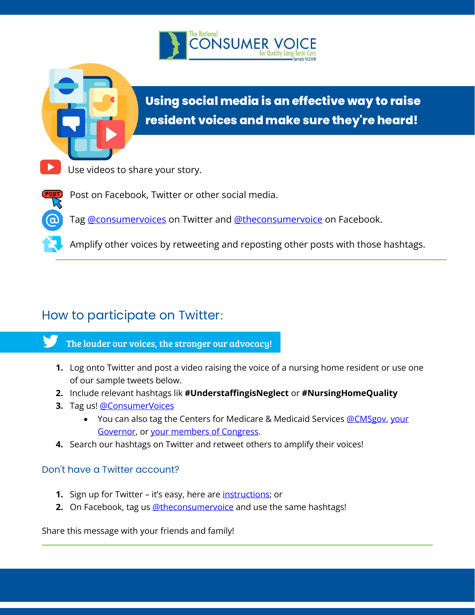



# **Using social media is an effective way to raise resident voices and make sure they're heard!**



Post on Facebook, Twitter or other social media.

Tag @consumervoices on Twitter and @theconsumervoice on Facebook.

Amplify other voices by retweeting and reposting other posts with those hashtags.

# How to participate on Twitter:

- The louder our voices, the stronger our advocacy!
	- **1.** Log onto Twitter and post a video raising the voice of a nursing home resident or use one of our sample tweets below.
- **2.** Include relevant hashtags lik **#UnderstaffingisNeglect** or **#NursingHomeQuality**
- **3.** Tag us! @ConsumerVoices
	- You can also tag the Centers for Medicare & Medicaid Services @CMSgov, your Governor, or your members of Congress.
- **4.** Search our hashtags on Twitter and retweet others to amplify their voices!

## Don't have a Twitter account?

- **1.** Sign up for Twitter it's easy, here are *instructions*; or
- **2.** On Facebook, tag us @theconsumervoice and use the same hashtags!

Share this message with your friends and family!